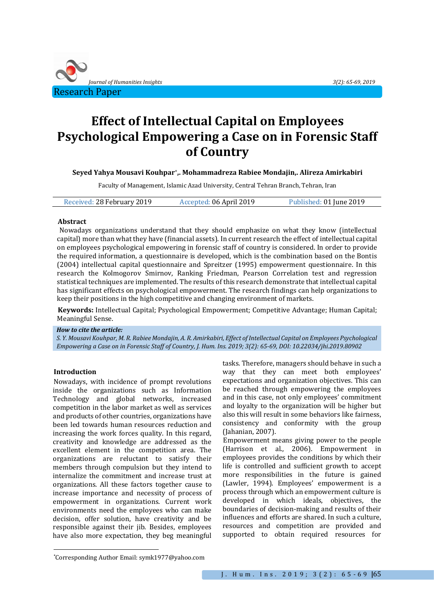

# **Effect of Intellectual Capital on Employees Psychological Empowering a Case on in Forensic Staff of Country**

**Seyed Yahya Mousavi Kouhpar\* ,. Mohammadreza Rabiee Mondajin,. Alireza Amirkabiri**

Faculty of Management, Islamic Azad University, Central Tehran Branch, Tehran, Iran

| Received: 28 February 2019 | Accepted: 06 April 2019 | Published: 01 June 2019 |
|----------------------------|-------------------------|-------------------------|
|----------------------------|-------------------------|-------------------------|

#### **Abstract**

Nowadays organizations understand that they should emphasize on what they know (intellectual capital) more than what they have (financial assets). In current research the effect of intellectual capital on employees psychological empowering in forensic staff of country is considered. In order to provide the required information, a questionnaire is developed, which is the combination based on the Bontis (2004) intellectual capital questionnaire and Spreitzer (1995) empowerment questionnaire. In this research the Kolmogorov Smirnov, Ranking Friedman, Pearson Correlation test and regression statistical techniques are implemented. The results of this research demonstrate that intellectual capital has significant effects on psychological empowerment. The research findings can help organizations to keep their positions in the high competitive and changing environment of markets.

**Keywords:** Intellectual Capital; Psychological Empowerment; Competitive Advantage; Human Capital; Meaningful Sense.

#### *How to cite the article:*

*S. Y. Mousavi Kouhpar, M. R. Rabiee Mondajin, A. R. Amirkabiri, Effect of Intellectual Capital on Employees Psychological Empowering a Case on in Forensic Staff of Country, J. Hum. Ins. 2019; 3(2): 65-69, DOI: 10.22034/jhi.2019.80902*

#### **Introduction**

l

Nowadays, with incidence of prompt revolutions inside the organizations such as Information Technology and global networks, increased competition in the labor market as well as services and products of other countries, organizations have been led towards human resources reduction and increasing the work forces quality. In this regard, creativity and knowledge are addressed as the excellent element in the competition area. The organizations are reluctant to satisfy their members through compulsion but they intend to internalize the commitment and increase trust at organizations. All these factors together cause to increase importance and necessity of process of empowerment in organizations. Current work environments need the employees who can make decision, offer solution, have creativity and be responsible against their jib. Besides, employees have also more expectation, they beg meaningful

tasks. Therefore, managers should behave in such a way that they can meet both employees' expectations and organization objectives. This can be reached through empowering the employees and in this case, not only employees' commitment and loyalty to the organization will be higher but also this will result in some behaviors like fairness, consistency and conformity with the group (Jahanian, 2007).

Empowerment means giving power to the people (Harrison et al., 2006). Empowerment in employees provides the conditions by which their life is controlled and sufficient growth to accept more responsibilities in the future is gained (Lawler, 1994). Employees' empowerment is a process through which an empowerment culture is developed in which ideals, objectives, the boundaries of decision-making and results of their influences and efforts are shared. In such a culture, resources and competition are provided and supported to obtain required resources for

<sup>\*</sup>Corresponding Author Email: symk1977@yahoo.com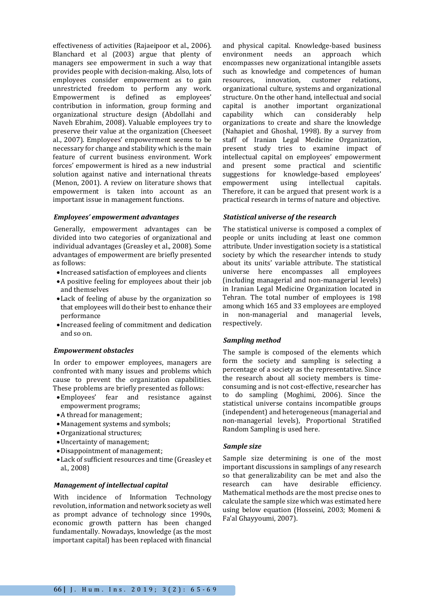effectiveness of activities (Rajaeipoor et al., 2006). Blanchard et al (2003) argue that plenty of managers see empowerment in such a way that provides people with decision-making. Also, lots of employees consider empowerment as to gain unrestricted freedom to perform any work. Empowerment is defined as employees' contribution in information, group forming and organizational structure design (Abdollahi and Naveh Ebrahim, 2008). Valuable employees try to preserve their value at the organization (Cheeseet al., 2007). Employees' empowerment seems to be necessary for change and stability which is the main feature of current business environment. Work forces' empowerment is hired as a new industrial solution against native and international threats (Menon, 2001). A review on literature shows that empowerment is taken into account as an important issue in management functions.

### *Employees' empowerment advantages*

Generally, empowerment advantages can be divided into two categories of organizational and individual advantages (Greasley et al., 2008). Some advantages of empowerment are briefly presented as follows:

- Increased satisfaction of employees and clients
- A positive feeling for employees about their job and themselves
- Lack of feeling of abuse by the organization so that employees will do their best to enhance their performance
- Increased feeling of commitment and dedication and so on.

# *Empowerment obstacles*

In order to empower employees, managers are confronted with many issues and problems which cause to prevent the organization capabilities. These problems are briefly presented as follows:

- Employees' fear and resistance against empowerment programs;
- A thread for management;
- Management systems and symbols;
- Organizational structures;
- Uncertainty of management;
- Disappointment of management;
- Lack of sufficient resources and time (Greasley et al., 2008)

# *Management of intellectual capital*

With incidence of Information Technology revolution, information and network society as well as prompt advance of technology since 1990s, economic growth pattern has been changed fundamentally. Nowadays, knowledge (as the most important capital) has been replaced with financial

and physical capital. Knowledge-based business environment needs an approach which encompasses new organizational intangible assets such as knowledge and competences of human resources, innovation, customer relations, organizational culture, systems and organizational structure. On the other hand, intellectual and social capital is another important organizational capability which can considerably help organizations to create and share the knowledge (Nahapiet and Ghoshal, 1998). By a survey from staff of Iranian Legal Medicine Organization, present study tries to examine impact of intellectual capital on employees' empowerment and present some practical and scientific suggestions for knowledge-based employees' empowerment using intellectual capitals. Therefore, it can be argued that present work is a practical research in terms of nature and objective.

# *Statistical universe of the research*

The statistical universe is composed a complex of people or units including at least one common attribute. Under investigation society is a statistical society by which the researcher intends to study about its units' variable attribute. The statistical universe here encompasses all employees (including managerial and non-managerial levels) in Iranian Legal Medicine Organization located in Tehran. The total number of employees is 198 among which 165 and 33 employees are employed in non-managerial and managerial levels, respectively.

# *Sampling method*

The sample is composed of the elements which form the society and sampling is selecting a percentage of a society as the representative. Since the research about all society members is timeconsuming and is not cost-effective, researcher has to do sampling (Moghimi, 2006). Since the statistical universe contains incompatible groups (independent) and heterogeneous (managerial and non-managerial levels), Proportional Stratified Random Sampling is used here.

# *Sample size*

Sample size determining is one of the most important discussions in samplings of any research so that generalizability can be met and also the research can have desirable efficiency. Mathematical methods are the most precise ones to calculate the sample size which was estimated here using below equation (Hosseini, 2003; Momeni & Fa'al Ghayyoumi, 2007).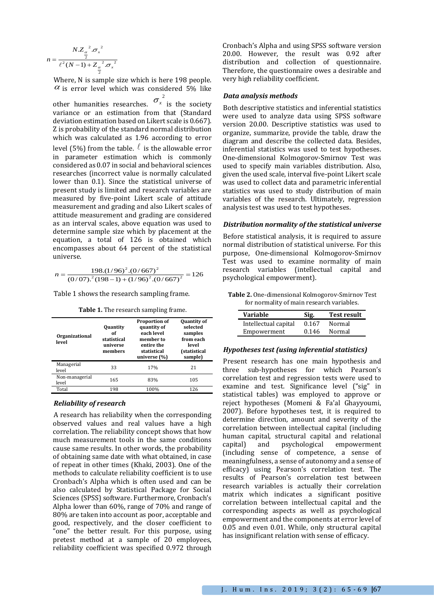$$
n = \frac{NZ_{\frac{\alpha}{2}}^2 .\sigma_x^2}{\ell^2 (N-1) + Z_{\frac{\alpha}{2}}^2 .\sigma_x^2}
$$

Where, N is sample size which is here 198 people.  $\alpha$  is error level which was considered 5% like

other humanities researches.  $\sigma_x^2$  is the society variance or an estimation from that (Standard deviation estimation based on Likert scale is 0.667). Z is probability of the standard normal distribution which was calculated as 1.96 according to error level (5%) from the table.  $\ell$  is the allowable error in parameter estimation which is commonly considered as 0.07 in social and behavioral sciences researches (incorrect value is normally calculated lower than 0.1). Since the statistical universe of present study is limited and research variables are measured by five-point Likert scale of attitude measurement and grading and also Likert scales of attitude measurement and grading are considered as an interval scales, above equation was used to determine sample size which by placement at the equation, a total of 126 is obtained which encompasses about 64 percent of the statistical universe.

$$
n = \frac{198.(1/96)^{2}.(0/667)^{2}}{(0/07)^{2}(198-1)+(1/96)^{2}.(0/667)^{2}} = 126
$$

Table 1 shows the research sampling frame.

**Table 1.** The research sampling frame.

| <b>Organizational</b><br>level | <b>Quantity</b><br>0f<br>statistical<br>universe<br>members | <b>Proportion of</b><br>quantity of<br>each level<br>member to<br>entire the<br>statistical<br>universe (%) | <b>Quantity of</b><br>selected<br>samples<br>from each<br>level<br>(statistical<br>sample) |
|--------------------------------|-------------------------------------------------------------|-------------------------------------------------------------------------------------------------------------|--------------------------------------------------------------------------------------------|
| Managerial<br>level            | 33                                                          | 17%                                                                                                         | 21                                                                                         |
| Non-managerial<br>level        | 165                                                         | 83%                                                                                                         | 105                                                                                        |
| Total                          | 198                                                         | 100%                                                                                                        | 126                                                                                        |

#### *Reliability of research*

A research has reliability when the corresponding observed values and real values have a high correlation. The reliability concept shows that how much measurement tools in the same conditions cause same results. In other words, the probability of obtaining same date with what obtained, in case of repeat in other times (Khaki, 2003). One of the methods to calculate reliability coefficient is to use Cronbach's Alpha which is often used and can be also calculated by Statistical Package for Social Sciences (SPSS) software. Furthermore, Cronbach's Alpha lower than 60%, range of 70% and range of 80% are taken into account as poor, acceptable and good, respectively, and the closer coefficient to "one" the better result. For this purpose, using pretest method at a sample of 20 employees, reliability coefficient was specified 0.972 through

Cronbach's Alpha and using SPSS software version 20.00. However, the result was 0.92 after distribution and collection of questionnaire. Therefore, the questionnaire owes a desirable and very high reliability coefficient.

#### *Data analysis methods*

Both descriptive statistics and inferential statistics were used to analyze data using SPSS software version 20.00. Descriptive statistics was used to organize, summarize, provide the table, draw the diagram and describe the collected data. Besides, inferential statistics was used to test hypotheses. One-dimensional Kolmogorov-Smirnov Test was used to specify main variables distribution. Also, given the used scale, interval five-point Likert scale was used to collect data and parametric inferential statistics was used to study distribution of main variables of the research. Ultimately, regression analysis test was used to test hypotheses.

#### *Distribution normality of the statistical universe*

Before statistical analysis, it is required to assure normal distribution of statistical universe. For this purpose, One-dimensional Kolmogorov-Smirnov Test was used to examine normality of main research variables (intellectual capital and psychological empowerment).

**Table 2.** One-dimensional Kolmogorov-Smirnov Test for normality of main research variables.

| Variable             | Sig.  | <b>Test result</b> |
|----------------------|-------|--------------------|
| Intellectual capital | 0.167 | Normal             |
| Empowerment          | 0.146 | Normal             |

#### *Hypotheses test (using inferential statistics)*

Present research has one main hypothesis and three sub-hypotheses for which Pearson's correlation test and regression tests were used to examine and test. Significance level ("sig" in statistical tables) was employed to approve or reject hypotheses (Momeni & Fa'al Ghayyoumi, 2007). Before hypotheses test, it is required to determine direction, amount and severity of the correlation between intellectual capital (including human capital, structural capital and relational capital) and psychological empowerment (including sense of competence, a sense of meaningfulness, a sense of autonomy and a sense of efficacy) using Pearson's correlation test. The results of Pearson's correlation test between research variables is actually their correlation matrix which indicates a significant positive correlation between intellectual capital and the corresponding aspects as well as psychological empowerment and the components at error level of 0.05 and even 0.01. While, only structural capital has insignificant relation with sense of efficacy.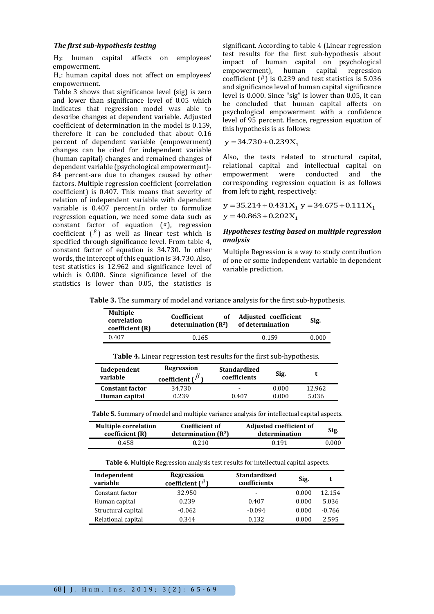### *The first sub-hypothesis testing*

H0: human capital affects on employees' empowerment.

H1: human capital does not affect on employees' empowerment.

Table 3 shows that significance level (sig) is zero and lower than significance level of 0.05 which indicates that regression model was able to describe changes at dependent variable. Adjusted coefficient of determination in the model is 0.159, therefore it can be concluded that about 0.16 percent of dependent variable (empowerment) changes can be cited for independent variable (human capital) changes and remained changes of dependent variable (psychological empowerment)- 84 percent-are due to changes caused by other factors. Multiple regression coefficient (correlation coefficient) is 0.407. This means that severity of relation of independent variable with dependent variable is 0.407 percent.In order to formulize regression equation, we need some data such as constant factor of equation ( *α* ), regression coefficient  $(\beta)$  as well as linear test which is specified through significance level. From table 4, constant factor of equation is 34.730. In other words, the intercept of this equation is 34.730. Also, test statistics is 12.962 and significance level of which is 0.000. Since significance level of the statistics is lower than 0.05, the statistics is

significant. According to table 4 (Linear regression test results for the first sub-hypothesis about impact of human capital on psychological<br>empowerment), human capital regression empowerment), human capital regression coefficient  $(\beta)$  is 0.239 and test statistics is 5.036 and significance level of human capital significance level is 0.000. Since "sig" is lower than 0.05, it can be concluded that human capital affects on psychological empowerment with a confidence level of 95 percent. Hence, regression equation of this hypothesis is as follows:

$$
y = 34.730 + 0.239X_1
$$

Also, the tests related to structural capital, relational capital and intellectual capital on empowerment were conducted and the corresponding regression equation is as follows from left to right, respectively:

 $y = 35.214 + 0.431X_1$   $y = 34.675 + 0.111X_1$  $y = 40.863 + 0.202X_1$ 

## *Hypotheses testing based on multiple regression analysis*

Multiple Regression is a way to study contribution of one or some independent variable in dependent variable prediction.

| Table 3. The summary of model and variance analysis for the first sub-hypothesis. |  |  |  |  |  |
|-----------------------------------------------------------------------------------|--|--|--|--|--|
|-----------------------------------------------------------------------------------|--|--|--|--|--|

| <b>Multiple</b><br>correlation<br>coefficient (R) | Coefficient<br>оf<br>determination $(R^2)$ | Adjusted coefficient<br>of determination | Sig.  |
|---------------------------------------------------|--------------------------------------------|------------------------------------------|-------|
| 0.407                                             | 0.165                                      | 0.159                                    | 0.000 |

**Table 4.** Linear regression test results for the first sub-hypothesis.

| Independent<br>variable | <b>Regression</b><br>coefficient ( $\beta$ | <b>Standardized</b><br>coefficients | Sig.  |        |
|-------------------------|--------------------------------------------|-------------------------------------|-------|--------|
| <b>Constant factor</b>  | 34.730                                     | ٠                                   | 0.000 | 12.962 |
| Human capital           | 0.239                                      | 0.407                               | 0.000 | 5.036  |

**Table 5.** Summary of model and multiple variance analysis for intellectual capital aspects.

| <b>Multiple correlation</b> | Coefficient of        | <b>Adjusted coefficient of</b> | Sig.  |
|-----------------------------|-----------------------|--------------------------------|-------|
| coefficient (R)             | determination $(R^2)$ | determination                  |       |
| 0.458                       | 0.210                 | 0.191                          | 0.000 |

**Table 6**. Multiple Regression analysis test results for intellectual capital aspects.

| Independent<br>variable | Regression<br>coefficient $\binom{\beta}{ }$ | <b>Standardized</b><br>coefficients | Sig.  |          |
|-------------------------|----------------------------------------------|-------------------------------------|-------|----------|
| Constant factor         | 32.950                                       | $\overline{\phantom{a}}$            | 0.000 | 12.154   |
| Human capital           | 0.239                                        | 0.407                               | 0.000 | 5.036    |
| Structural capital      | $-0.062$                                     | $-0.094$                            | 0.000 | $-0.766$ |
| Relational capital      | 0.344                                        | 0.132                               | 0.000 | 2.595    |